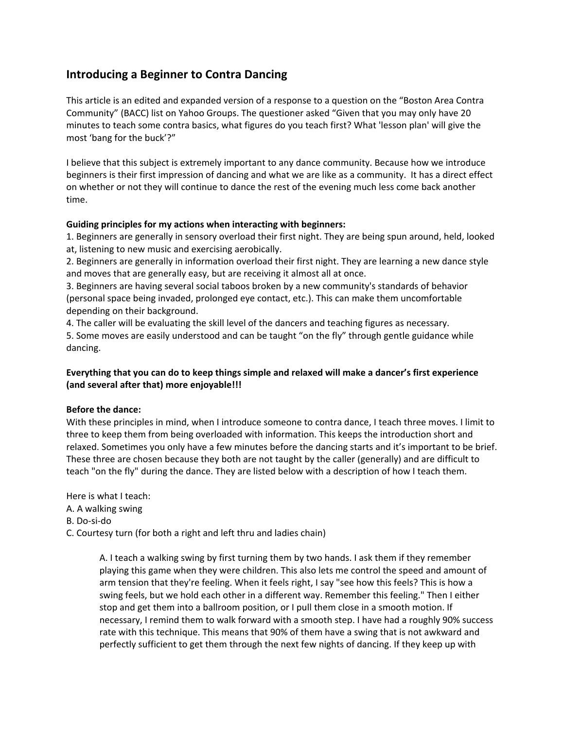# **Introducing a Beginner to Contra Dancing**

This article is an edited and expanded version of a response to a question on the "Boston Area Contra Community" (BACC) list on Yahoo Groups. The questioner asked "Given that you may only have 20 minutes to teach some contra basics, what figures do you teach first? What 'lesson plan' will give the most 'bang for the buck'?"

I believe that this subject is extremely important to any dance community. Because how we introduce beginners is their first impression of dancing and what we are like as a community. It has a direct effect on whether or not they will continue to dance the rest of the evening much less come back another time.

### **Guiding principles for my actions when interacting with beginners:**

1. Beginners are generally in sensory overload their first night. They are being spun around, held, looked at, listening to new music and exercising aerobically.

2. Beginners are generally in information overload their first night. They are learning a new dance style and moves that are generally easy, but are receiving it almost all at once.

3. Beginners are having several social taboos broken by a new community's standards of behavior (personal space being invaded, prolonged eye contact, etc.). This can make them uncomfortable depending on their background.

4. The caller will be evaluating the skill level of the dancers and teaching figures as necessary.

5. Some moves are easily understood and can be taught "on the fly" through gentle guidance while dancing.

## **Everything that you can do to keep things simple and relaxed will make a dancer's first experience (and several after that) more enjoyable!!!**

## **Before the dance:**

With these principles in mind, when I introduce someone to contra dance, I teach three moves. I limit to three to keep them from being overloaded with information. This keeps the introduction short and relaxed. Sometimes you only have a few minutes before the dancing starts and it's important to be brief. These three are chosen because they both are not taught by the caller (generally) and are difficult to teach "on the fly" during the dance. They are listed below with a description of how I teach them.

Here is what I teach:

- A. A walking swing
- B. Do‐si‐do
- C. Courtesy turn (for both a right and left thru and ladies chain)

A. I teach a walking swing by first turning them by two hands. I ask them if they remember playing this game when they were children. This also lets me control the speed and amount of arm tension that they're feeling. When it feels right, I say "see how this feels? This is how a swing feels, but we hold each other in a different way. Remember this feeling." Then I either stop and get them into a ballroom position, or I pull them close in a smooth motion. If necessary, I remind them to walk forward with a smooth step. I have had a roughly 90% success rate with this technique. This means that 90% of them have a swing that is not awkward and perfectly sufficient to get them through the next few nights of dancing. If they keep up with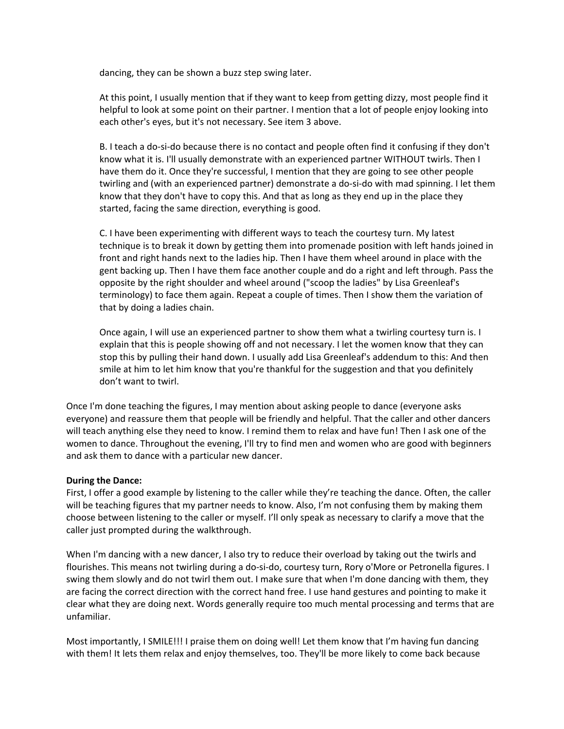dancing, they can be shown a buzz step swing later.

At this point, I usually mention that if they want to keep from getting dizzy, most people find it helpful to look at some point on their partner. I mention that a lot of people enjoy looking into each other's eyes, but it's not necessary. See item 3 above.

B. I teach a do‐si‐do because there is no contact and people often find it confusing if they don't know what it is. I'll usually demonstrate with an experienced partner WITHOUT twirls. Then I have them do it. Once they're successful, I mention that they are going to see other people twirling and (with an experienced partner) demonstrate a do‐si‐do with mad spinning. I let them know that they don't have to copy this. And that as long as they end up in the place they started, facing the same direction, everything is good.

C. I have been experimenting with different ways to teach the courtesy turn. My latest technique is to break it down by getting them into promenade position with left hands joined in front and right hands next to the ladies hip. Then I have them wheel around in place with the gent backing up. Then I have them face another couple and do a right and left through. Pass the opposite by the right shoulder and wheel around ("scoop the ladies" by Lisa Greenleaf's terminology) to face them again. Repeat a couple of times. Then I show them the variation of that by doing a ladies chain.

Once again, I will use an experienced partner to show them what a twirling courtesy turn is. I explain that this is people showing off and not necessary. I let the women know that they can stop this by pulling their hand down. I usually add Lisa Greenleaf's addendum to this: And then smile at him to let him know that you're thankful for the suggestion and that you definitely don't want to twirl.

Once I'm done teaching the figures, I may mention about asking people to dance (everyone asks everyone) and reassure them that people will be friendly and helpful. That the caller and other dancers will teach anything else they need to know. I remind them to relax and have fun! Then I ask one of the women to dance. Throughout the evening, I'll try to find men and women who are good with beginners and ask them to dance with a particular new dancer.

### **During the Dance:**

First, I offer a good example by listening to the caller while they're teaching the dance. Often, the caller will be teaching figures that my partner needs to know. Also, I'm not confusing them by making them choose between listening to the caller or myself. I'll only speak as necessary to clarify a move that the caller just prompted during the walkthrough.

When I'm dancing with a new dancer, I also try to reduce their overload by taking out the twirls and flourishes. This means not twirling during a do-si-do, courtesy turn, Rory o'More or Petronella figures. I swing them slowly and do not twirl them out. I make sure that when I'm done dancing with them, they are facing the correct direction with the correct hand free. I use hand gestures and pointing to make it clear what they are doing next. Words generally require too much mental processing and terms that are unfamiliar.

Most importantly, I SMILE!!! I praise them on doing well! Let them know that I'm having fun dancing with them! It lets them relax and enjoy themselves, too. They'll be more likely to come back because